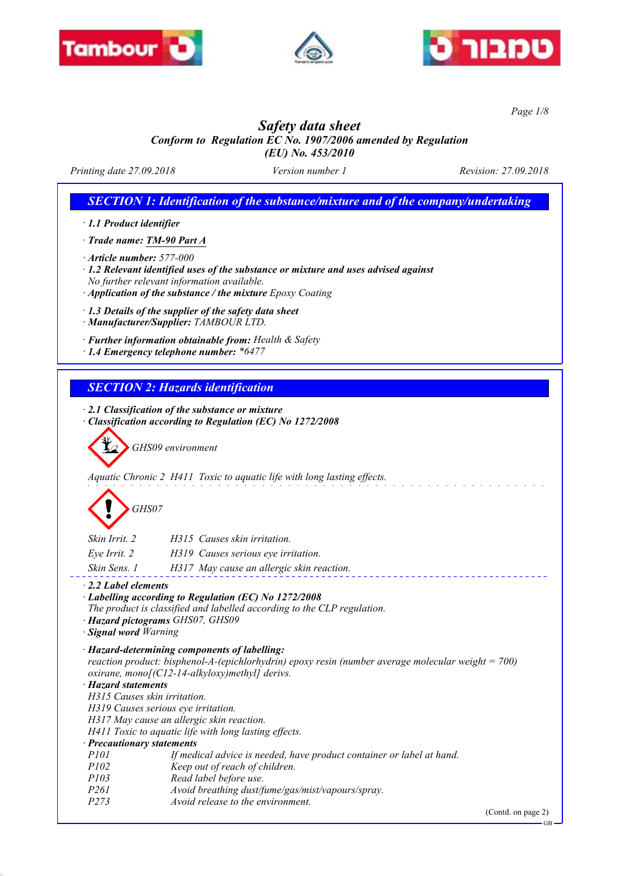





*Page 1/8*

# *Safety data sheet*

*Conform to Regulation EC No. 1907/2006 amended by Regulation (EU) No. 453/2010*

*Printing date 27.09.2018 Version number 1 Revision: 27.09.2018*

*SECTION 1: Identification of the substance/mixture and of the company/undertaking*

*· 1.1 Product identifier*

*· Trade name: TM-90 Part A*

*· Article number: 577-000*

*· 1.2 Relevant identified uses of the substance or mixture and uses advised against No further relevant information available.*

- *· Application of the substance / the mixture Epoxy Coating*
- *· 1.3 Details of the supplier of the safety data sheet*
- *· Manufacturer/Supplier: TAMBOUR LTD.*

*· Further information obtainable from: Health & Safety*

*· 1.4 Emergency telephone number: \*6477*

*SECTION 2: Hazards identification*

*· 2.1 Classification of the substance or mixture*

*· Classification according to Regulation (EC) No 1272/2008*

*GHS09 environment*

*Aquatic Chronic 2 H411 Toxic to aquatic life with long lasting effects.*

# *GHS07*

| Skin Irrit. 2 | H315 Causes skin irritation.              |
|---------------|-------------------------------------------|
| Eve Irrit. 2  | H319 Causes serious eye irritation.       |
| Skin Sens. 1  | H317 May cause an allergic skin reaction. |

*· 2.2 Label elements*

*· Labelling according to Regulation (EC) No 1272/2008*

*The product is classified and labelled according to the CLP regulation.*

- *· Hazard pictograms GHS07, GHS09*
- *· Signal word Warning*

*· Hazard-determining components of labelling: reaction product: bisphenol-A-(epichlorhydrin) epoxy resin (number average molecular weight = 700) oxirane, mono[(C12-14-alkyloxy)methyl] derivs. · Hazard statements*

*H315 Causes skin irritation.*

*H319 Causes serious eye irritation.*

*H317 May cause an allergic skin reaction.*

*H411 Toxic to aquatic life with long lasting effects.*

*· Precautionary statements*

- *P101 If medical advice is needed, have product container or label at hand.*
- *P102 Keep out of reach of children.*
- *P103 Read label before use.*
- *P261 Avoid breathing dust/fume/gas/mist/vapours/spray.*
- *P273 Avoid release to the environment.*

(Contd. on page 2)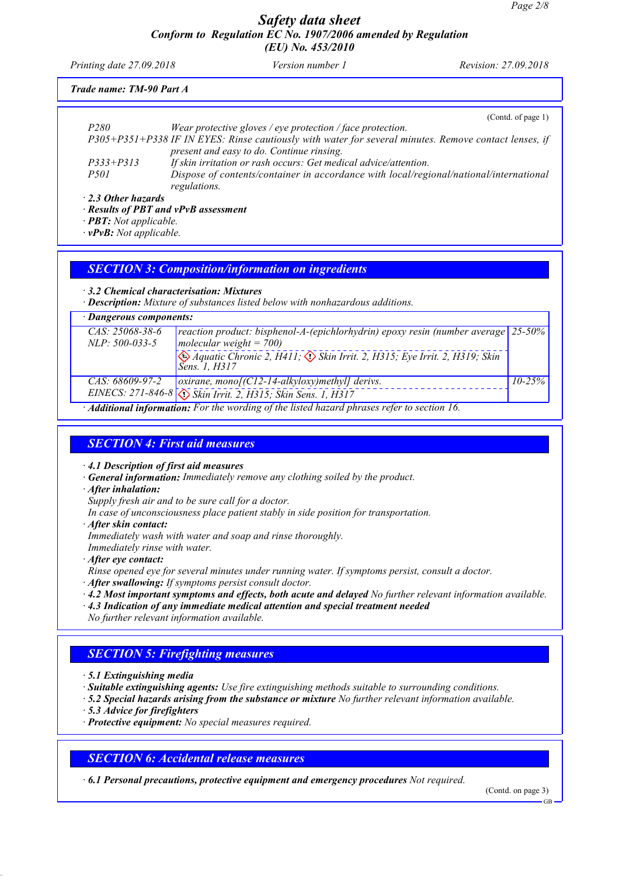*Printing date 27.09.2018 Version number 1 Revision: 27.09.2018*

# *Trade name: TM-90 Part A*

|                                      | (Cond. of page 1)                                                                                                                                  |
|--------------------------------------|----------------------------------------------------------------------------------------------------------------------------------------------------|
| P <sub>280</sub>                     | Wear protective gloves / eye protection / face protection.                                                                                         |
|                                      | P305+P351+P338 IF IN EYES: Rinse cautiously with water for several minutes. Remove contact lenses, if<br>present and easy to do. Continue rinsing. |
| $P333 + P313$                        | If skin irritation or rash occurs: Get medical advice/attention.                                                                                   |
| <i>P501</i>                          | Dispose of contents/container in accordance with local/regional/national/international<br>regulations.                                             |
| $\cdot$ 2.3 Other hazards            |                                                                                                                                                    |
| · Results of PBT and vPvB assessment |                                                                                                                                                    |
| $\cdot$ <b>PBT:</b> Not applicable.  |                                                                                                                                                    |
|                                      |                                                                                                                                                    |

*· vPvB: Not applicable.*

### *SECTION 3: Composition/information on ingredients*

#### *· 3.2 Chemical characterisation: Mixtures*

*· Description: Mixture of substances listed below with nonhazardous additions.*

### *· Dangerous components:*

| $CAS: 25068-38-6$ | reaction product: bisphenol-A-(epichlorhydrin) epoxy resin (number average $\left  25\text{-}50\% \right $                  |             |
|-------------------|-----------------------------------------------------------------------------------------------------------------------------|-------------|
| $NLP: 500-033-5$  | molecular weight = $700$ )                                                                                                  |             |
|                   | $\leftrightarrow$ Aquatic Chronic 2, H411; $\leftrightarrow$ Skin Irrit. 2, H315; Eye Irrit. 2, H319; Skin<br>Sens. 1, H317 |             |
| CAS: 68609-97-2   | $\alpha$ oxirane, monof (C12-14-alkyloxy) methyll derivs.                                                                   | $10 - 25\%$ |
|                   | EINECS: 271-846-8 (1) Skin Irrit. 2, H315; Skin Sens. 1, H317                                                               |             |
|                   | $\cdot$ <b>Additional information:</b> For the wording of the listed hazard phrases refer to section 16.                    |             |

# *SECTION 4: First aid measures*

*· 4.1 Description of first aid measures*

- *· General information: Immediately remove any clothing soiled by the product.*
- *· After inhalation:*

*Supply fresh air and to be sure call for a doctor.*

*In case of unconsciousness place patient stably in side position for transportation.*

*· After skin contact:*

*Immediately wash with water and soap and rinse thoroughly.*

*Immediately rinse with water.*

*· After eye contact:*

*Rinse opened eye for several minutes under running water. If symptoms persist, consult a doctor.*

- *· After swallowing: If symptoms persist consult doctor.*
- *· 4.2 Most important symptoms and effects, both acute and delayed No further relevant information available.*
- *· 4.3 Indication of any immediate medical attention and special treatment needed*
- *No further relevant information available.*

# *SECTION 5: Firefighting measures*

*· 5.1 Extinguishing media*

*· Suitable extinguishing agents: Use fire extinguishing methods suitable to surrounding conditions.*

- *· 5.2 Special hazards arising from the substance or mixture No further relevant information available.*
- *· 5.3 Advice for firefighters*
- *· Protective equipment: No special measures required.*

# *SECTION 6: Accidental release measures*

*· 6.1 Personal precautions, protective equipment and emergency procedures Not required.*

(Contd. on page 3)

GB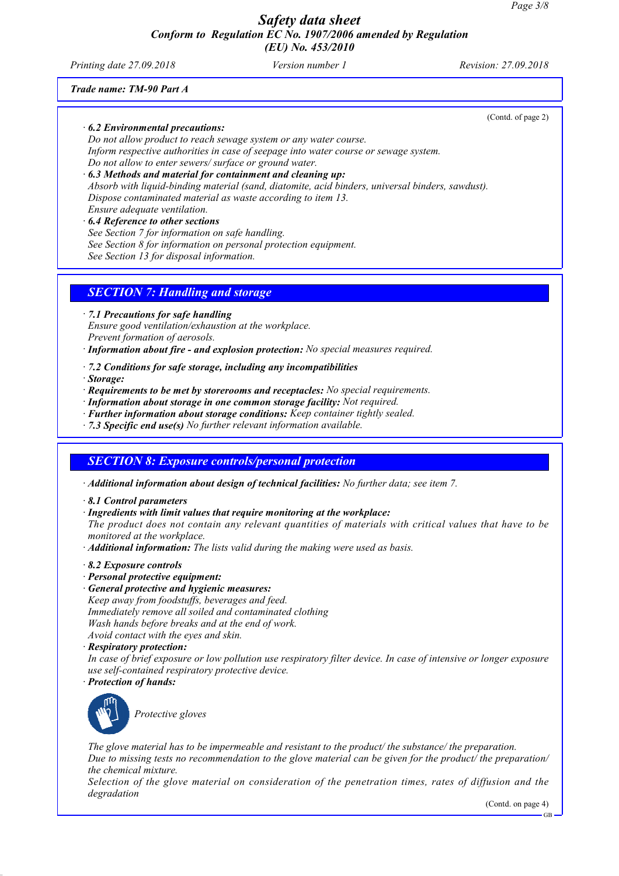*Printing date 27.09.2018 Version number 1 Revision: 27.09.2018*

(Contd. of page 2)

*Trade name: TM-90 Part A*

### *· 6.2 Environmental precautions:*

*Do not allow product to reach sewage system or any water course. Inform respective authorities in case of seepage into water course or sewage system. Do not allow to enter sewers/ surface or ground water.*

*· 6.3 Methods and material for containment and cleaning up: Absorb with liquid-binding material (sand, diatomite, acid binders, universal binders, sawdust). Dispose contaminated material as waste according to item 13.*

*Ensure adequate ventilation.*

*· 6.4 Reference to other sections See Section 7 for information on safe handling. See Section 8 for information on personal protection equipment. See Section 13 for disposal information.*

# *SECTION 7: Handling and storage*

*· 7.1 Precautions for safe handling*

*Ensure good ventilation/exhaustion at the workplace.*

*Prevent formation of aerosols.*

- *· Information about fire and explosion protection: No special measures required.*
- *· 7.2 Conditions for safe storage, including any incompatibilities*

*· Storage:*

- *· Requirements to be met by storerooms and receptacles: No special requirements.*
- *· Information about storage in one common storage facility: Not required.*
- *· Further information about storage conditions: Keep container tightly sealed.*
- *· 7.3 Specific end use(s) No further relevant information available.*

# *SECTION 8: Exposure controls/personal protection*

*· Additional information about design of technical facilities: No further data; see item 7.*

*· 8.1 Control parameters*

*· Ingredients with limit values that require monitoring at the workplace:*

*The product does not contain any relevant quantities of materials with critical values that have to be monitored at the workplace.*

- *· Additional information: The lists valid during the making were used as basis.*
- *· 8.2 Exposure controls*
- *· Personal protective equipment:*
- *· General protective and hygienic measures: Keep away from foodstuffs, beverages and feed. Immediately remove all soiled and contaminated clothing Wash hands before breaks and at the end of work. Avoid contact with the eyes and skin.*
- *· Respiratory protection:*

*In case of brief exposure or low pollution use respiratory filter device. In case of intensive or longer exposure use self-contained respiratory protective device.*

*· Protection of hands:*



*Protective gloves*

*The glove material has to be impermeable and resistant to the product/ the substance/ the preparation. Due to missing tests no recommendation to the glove material can be given for the product/ the preparation/ the chemical mixture.*

*Selection of the glove material on consideration of the penetration times, rates of diffusion and the degradation*

(Contd. on page 4)

GB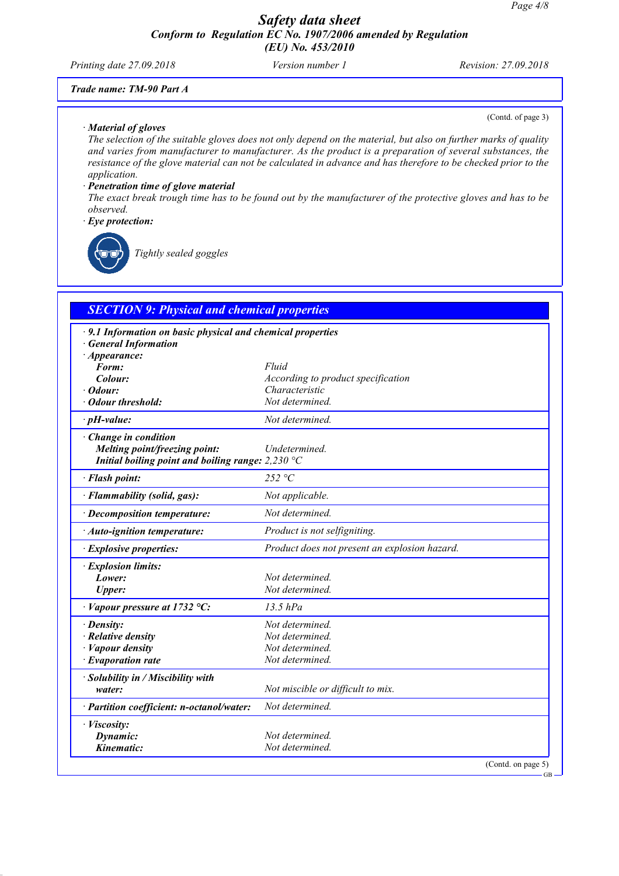*Printing date 27.09.2018 Version number 1 Revision: 27.09.2018*

(Contd. of page 3)

## *Trade name: TM-90 Part A*

#### *· Material of gloves*

*The selection of the suitable gloves does not only depend on the material, but also on further marks of quality and varies from manufacturer to manufacturer. As the product is a preparation of several substances, the resistance of the glove material can not be calculated in advance and has therefore to be checked prior to the application.*

#### *· Penetration time of glove material*

*The exact break trough time has to be found out by the manufacturer of the protective gloves and has to be observed.*

*· Eye protection:*



*Tightly sealed goggles*

| <b>SECTION 9: Physical and chemical properties</b>          |                                               |
|-------------------------------------------------------------|-----------------------------------------------|
| · 9.1 Information on basic physical and chemical properties |                                               |
| <b>General Information</b>                                  |                                               |
| · Appearance:                                               |                                               |
| Form:                                                       | Fluid                                         |
| Colour:                                                     | According to product specification            |
| · Odour:                                                    | Characteristic                                |
| <b>Odour threshold:</b>                                     | Not determined.                               |
| $\cdot$ pH-value:                                           | Not determined.                               |
| Change in condition                                         |                                               |
| Melting point/freezing point:                               | Undetermined.                                 |
| Initial boiling point and boiling range: $2,230 °C$         |                                               |
| · Flash point:                                              | 252 °C                                        |
| · Flammability (solid, gas):                                | Not applicable.                               |
| · Decomposition temperature:                                | Not determined.                               |
| · Auto-ignition temperature:                                | Product is not selfigniting.                  |
| · Explosive properties:                                     | Product does not present an explosion hazard. |
| · Explosion limits:                                         |                                               |
| Lower:                                                      | Not determined.                               |
| <b>Upper:</b>                                               | Not determined.                               |
| $\cdot$ Vapour pressure at 1732 °C:                         | $13.5$ hPa                                    |
| $\cdot$ Density:                                            | Not determined.                               |
| · Relative density                                          | Not determined.                               |
| · Vapour density                                            | Not determined.                               |
| $\cdot$ Evaporation rate                                    | Not determined.                               |
| · Solubility in / Miscibility with                          |                                               |
| water:                                                      | Not miscible or difficult to mix.             |
| · Partition coefficient: n-octanol/water:                   | Not determined.                               |
| · Viscosity:                                                |                                               |
| Dynamic:                                                    | Not determined.                               |
| Kinematic:                                                  | Not determined.                               |

#### GB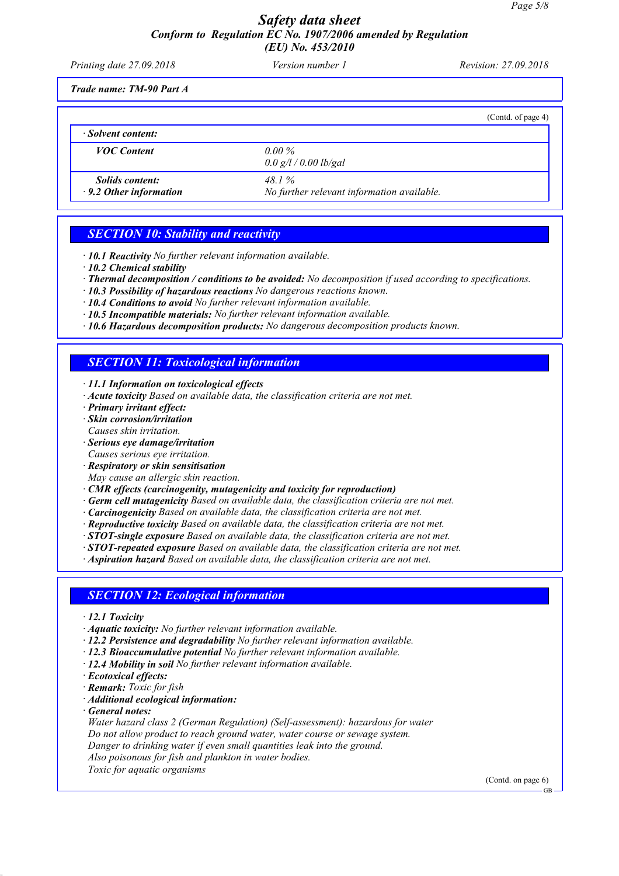| Printing date 27.09.2018                                | Version number 1                                    | Revision: 27.09.2018 |
|---------------------------------------------------------|-----------------------------------------------------|----------------------|
| Trade name: TM-90 Part A                                |                                                     |                      |
|                                                         |                                                     | (Contd. of page 4)   |
| · Solvent content:                                      |                                                     |                      |
| <b>VOC</b> Content                                      | $0.00\%$<br>0.0 g/l / 0.00 lb/gal                   |                      |
| <i>Solids content:</i><br>$\cdot$ 9.2 Other information | 48.1%<br>No further relevant information available. |                      |

# *SECTION 10: Stability and reactivity*

- *· 10.1 Reactivity No further relevant information available.*
- *· 10.2 Chemical stability*
- *· Thermal decomposition / conditions to be avoided: No decomposition if used according to specifications.*
- *· 10.3 Possibility of hazardous reactions No dangerous reactions known.*
- *· 10.4 Conditions to avoid No further relevant information available.*
- *· 10.5 Incompatible materials: No further relevant information available.*
- *· 10.6 Hazardous decomposition products: No dangerous decomposition products known.*

# *SECTION 11: Toxicological information*

- *· 11.1 Information on toxicological effects*
- *· Acute toxicity Based on available data, the classification criteria are not met.*
- *· Primary irritant effect:*
- *· Skin corrosion/irritation*
- *Causes skin irritation.*
- *· Serious eye damage/irritation*
- *Causes serious eye irritation.*
- *· Respiratory or skin sensitisation*
- *May cause an allergic skin reaction.*
- *· CMR effects (carcinogenity, mutagenicity and toxicity for reproduction)*
- *· Germ cell mutagenicity Based on available data, the classification criteria are not met.*
- *· Carcinogenicity Based on available data, the classification criteria are not met.*
- *· Reproductive toxicity Based on available data, the classification criteria are not met.*
- *· STOT-single exposure Based on available data, the classification criteria are not met.*
- *· STOT-repeated exposure Based on available data, the classification criteria are not met.*
- *· Aspiration hazard Based on available data, the classification criteria are not met.*

#### *SECTION 12: Ecological information*

- *· 12.1 Toxicity*
- *· Aquatic toxicity: No further relevant information available.*
- *· 12.2 Persistence and degradability No further relevant information available.*
- *· 12.3 Bioaccumulative potential No further relevant information available.*
- *· 12.4 Mobility in soil No further relevant information available.*
- *· Ecotoxical effects:*
- *· Remark: Toxic for fish*
- *· Additional ecological information:*
- *· General notes:*

*Water hazard class 2 (German Regulation) (Self-assessment): hazardous for water Do not allow product to reach ground water, water course or sewage system. Danger to drinking water if even small quantities leak into the ground. Also poisonous for fish and plankton in water bodies. Toxic for aquatic organisms*

(Contd. on page 6)

 $CD$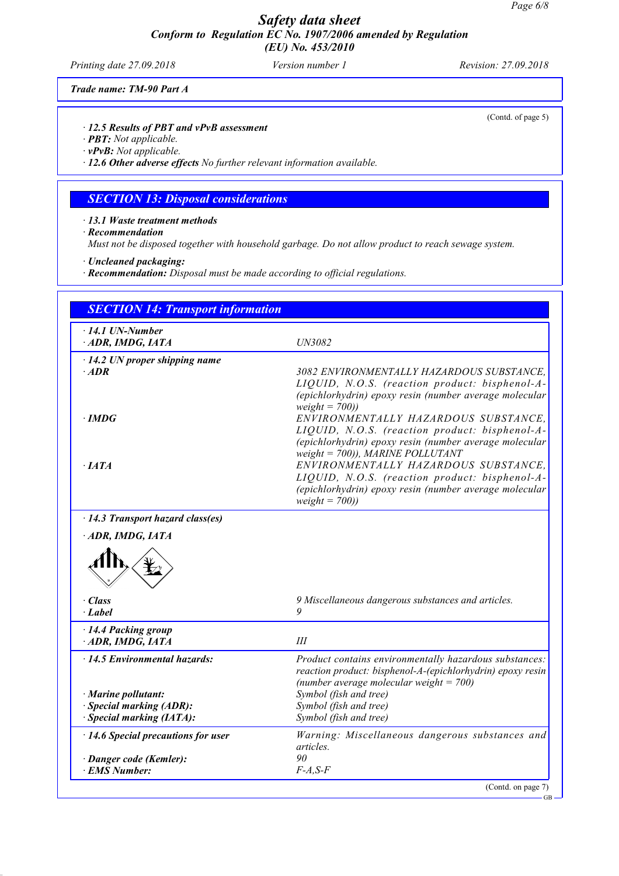*Printing date 27.09.2018 Version number 1 Revision: 27.09.2018*

(Contd. of page 5)

GB

*Trade name: TM-90 Part A*

*· 12.5 Results of PBT and vPvB assessment*

*· PBT: Not applicable.*

*· vPvB: Not applicable.*

*· 12.6 Other adverse effects No further relevant information available.*

# *SECTION 13: Disposal considerations*

*· 13.1 Waste treatment methods*

*· Recommendation*

*Must not be disposed together with household garbage. Do not allow product to reach sewage system.*

*· Uncleaned packaging:*

*· Recommendation: Disposal must be made according to official regulations.*

| $\cdot$ 14.1 UN-Number<br>ADR, IMDG, IATA              | UN3082                                                                                                                                                                                       |
|--------------------------------------------------------|----------------------------------------------------------------------------------------------------------------------------------------------------------------------------------------------|
| $\cdot$ 14.2 UN proper shipping name<br>$·$ <i>ADR</i> | 3082 ENVIRONMENTALLY HAZARDOUS SUBSTANCE,<br>LIQUID, N.O.S. (reaction product: bisphenol-A-<br>(epichlorhydrin) epoxy resin (number average molecular<br>$weight = 700)$                     |
| $\cdot$ IMDG                                           | ENVIRONMENTALLY HAZARDOUS SUBSTANCE,<br>LIQUID, N.O.S. (reaction product: bisphenol-A-<br>(epichlorhydrin) epoxy resin (number average molecular<br>weight = $700$ )), MARINE POLLUTANT      |
| $\cdot$ <i>IATA</i>                                    | ENVIRONMENTALLY HAZARDOUS SUBSTANCE,<br>LIQUID, N.O.S. (reaction product: bisphenol-A-<br>(epichlorhydrin) epoxy resin (number average molecular<br>$weight = 700)$                          |
| $\cdot$ 14.3 Transport hazard class(es)                |                                                                                                                                                                                              |
|                                                        |                                                                                                                                                                                              |
|                                                        |                                                                                                                                                                                              |
| $\cdot$ Class<br>· Label                               | 9 Miscellaneous dangerous substances and articles.<br>9                                                                                                                                      |
| · 14.4 Packing group<br>ADR, IMDG, IATA                | III                                                                                                                                                                                          |
| $\cdot$ 14.5 Environmental hazards:                    |                                                                                                                                                                                              |
| · Marine pollutant:                                    | Product contains environmentally hazardous substances:<br>reaction product: bisphenol-A-(epichlorhydrin) epoxy resin<br>(number average molecular weight = $700$ )<br>Symbol (fish and tree) |
| · Special marking (ADR):                               | Symbol (fish and tree)                                                                                                                                                                       |
| $\cdot$ Special marking (IATA):                        | Symbol (fish and tree)                                                                                                                                                                       |
| $\cdot$ 14.6 Special precautions for user              | Warning: Miscellaneous dangerous substances and<br>articles.                                                                                                                                 |
| · Danger code (Kemler):<br><b>EMS Number:</b>          | 90<br>$F-A, S-F$                                                                                                                                                                             |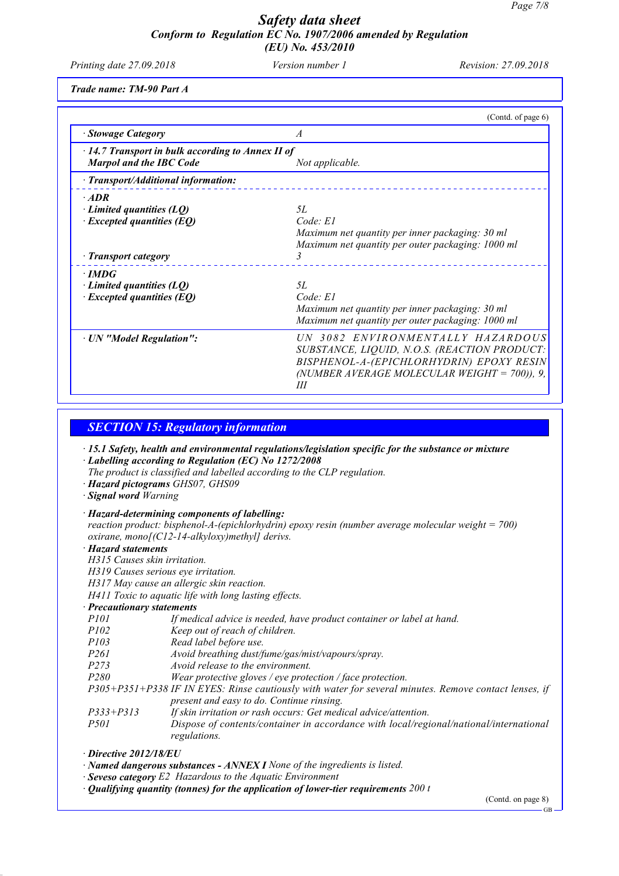*Printing date 27.09.2018 Version number 1 Revision: 27.09.2018*

*Trade name: TM-90 Part A*

|                                                                                           | (Contd. of page 6)                                                                                                                                                                 |
|-------------------------------------------------------------------------------------------|------------------------------------------------------------------------------------------------------------------------------------------------------------------------------------|
| · Stowage Category                                                                        | A                                                                                                                                                                                  |
| $\cdot$ 14.7 Transport in bulk according to Annex II of<br><b>Marpol and the IBC Code</b> | Not applicable.                                                                                                                                                                    |
| · Transport/Additional information:                                                       |                                                                                                                                                                                    |
| $·$ <i>ADR</i>                                                                            |                                                                                                                                                                                    |
| Limited quantities (LQ)<br>$\cdot$ Excepted quantities (EQ)                               | 5L<br>Code: E1<br>Maximum net quantity per inner packaging: 30 ml<br>Maximum net quantity per outer packaging: 1000 ml                                                             |
| · Transport category                                                                      | 3                                                                                                                                                                                  |
| $\cdot$ IMDG                                                                              |                                                                                                                                                                                    |
| $\cdot$ Limited quantities (LQ)<br>$\cdot$ Excepted quantities (EQ)                       | 5L<br>Code: El<br>Maximum net quantity per inner packaging: 30 ml<br>Maximum net quantity per outer packaging: 1000 ml                                                             |
| · UN "Model Regulation":                                                                  | UN 3082 ENVIRONMENTALLY HAZARDOUS<br>SUBSTANCE, LIQUID, N.O.S. (REACTION PRODUCT:<br>BISPHENOL-A-(EPICHLORHYDRIN) EPOXY RESIN<br>(NUMBER AVERAGE MOLECULAR WEIGHT = 700)), 9,<br>Ш |

*SECTION 15: Regulatory information*

*· 15.1 Safety, health and environmental regulations/legislation specific for the substance or mixture · Labelling according to Regulation (EC) No 1272/2008*

- *The product is classified and labelled according to the CLP regulation.*
- *· Hazard pictograms GHS07, GHS09*
- *· Signal word Warning*
- *· Hazard-determining components of labelling: reaction product: bisphenol-A-(epichlorhydrin) epoxy resin (number average molecular weight = 700) oxirane, mono[(C12-14-alkyloxy)methyl] derivs.*

#### *· Hazard statements*

*H315 Causes skin irritation.*

*H319 Causes serious eye irritation.*

*H317 May cause an allergic skin reaction.*

*H411 Toxic to aquatic life with long lasting effects.*

#### *· Precautionary statements*

- *P101 If medical advice is needed, have product container or label at hand.*
- *P102 Keep out of reach of children.*
- *P103 Read label before use.*
- *P261 Avoid breathing dust/fume/gas/mist/vapours/spray.*
- *P273 Avoid release to the environment.*

*P280 Wear protective gloves / eye protection / face protection.*

*P305+P351+P338 IF IN EYES: Rinse cautiously with water for several minutes. Remove contact lenses, if present and easy to do. Continue rinsing.*

- *P333+P313 If skin irritation or rash occurs: Get medical advice/attention.*
- *P501 Dispose of contents/container in accordance with local/regional/national/international regulations.*

*· Directive 2012/18/EU*

*· Named dangerous substances - ANNEX I None of the ingredients is listed.*

- *· Seveso category E2 Hazardous to the Aquatic Environment*
- *· Qualifying quantity (tonnes) for the application of lower-tier requirements 200 t*

(Contd. on page 8)